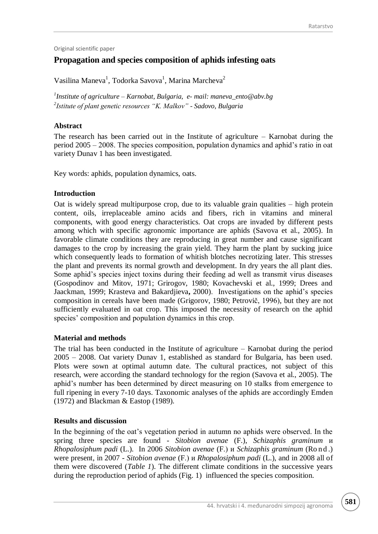Original scientific paper

# **Propagation and species composition of aphids infesting oats**

Vasilina Maneva<sup>1</sup>, Todorka Savova<sup>1</sup>, Marina Marcheva<sup>2</sup>

*1 Institute of agriculture – Karnobat, Bulgaria, e- mail: maneva\_ento@abv.bg 2 Istitute of plant genetic resources "K. Malkov" - Sadovo, Bulgaria*

# **Abstract**

The research has been carried out in the Institute of agriculture – Karnobat during the period 2005 – 2008. The species composition, population dynamics and aphid's ratio in oat variety Dunav 1 has been investigated.

Key words: aphids*,* population dynamics, oats.

# **Introduction**

Oat is widely spread multipurpose crop, due to its valuable grain qualities – high protein content, oils, irreplaceable amino acids and fibers, rich in vitamins and mineral components, with good energy characteristics. Oat crops are invaded by different pests among which with specific agronomic importance are aphids (Savova et al., 2005). In favorable climate conditions they are reproducing in great number and cause significant damages to the crop by increasing the grain yield. They harm the plant by sucking juice which consequently leads to formation of whitish blotches necrotizing later. This stresses the plant and prevents its normal growth and development. In dry years the all plant dies. Some aphid's species inject toxins during their feeding ad well as transmit virus diseases (Gospodinov and Mitov, 1971; Grirogov, 1980; Kovachevski et al., 1999; Drees and Jaackman, 1999; Krasteva and Bakardjieva**,** 2000). Investigations on the aphid's species composition in cereals have been made (Grigorov, 1980; Petrovič, 1996), but they are not sufficiently evaluated in oat crop. This imposed the necessity of research on the aphid species' composition and population dynamics in this crop.

# **Material and methods**

The trial has been conducted in the Institute of agriculture – Karnobat during the period 2005 – 2008. Oat variety Dunav 1, established as standard for Bulgaria, has been used. Plots were sown at optimal autumn date. The cultural practices, not subject of this research, were according the standard technology for the region (Savova et al., 2005). The aphid's number has been determined by direct measuring on 10 stalks from emergence to full ripening in every 7-10 days. Taxonomic analyses of the aphids are accordingly Emden (1972) and Blackman & Eastop (1989).

# **Results and discussion**

In the beginning of the oat's vegetation period in autumn no aphids were observed. In the spring three species are found - *Sitobion avenae* (F.), *Schizaphis graminum* и *Rhopalosiphum padi* (L.). In 2006 *Sitobion avenae* (F.) и *Schizaphis graminum* (Ro n d .) were present, in 2007 - *Sitobion avenae* (F.) и *Rhopalosiphum padi* (L.), and in 2008 all of them were discovered (*Table 1*). The different climate conditions in the successive years during the reproduction period of aphids (Fig. 1) influenced the species composition.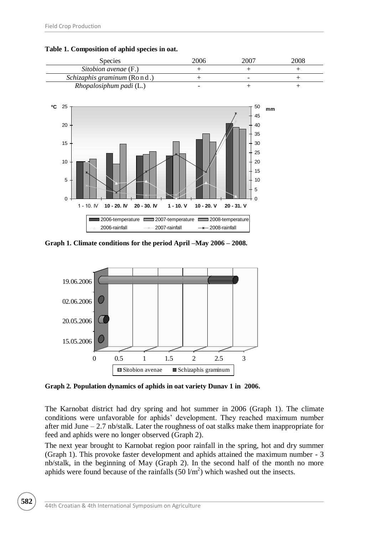

**Table 1. Composition of aphid species in oat.** 

**Graph 1. Climate conditions for the period April –May 2006 – 2008.**



**Graph 2***.* **Population dynamics of aphids in oat variety Dunav 1 in 2006.**

The Karnobat district had dry spring and hot summer in 2006 (Graph 1). The climate conditions were unfavorable for aphids' development. They reached maximum number after mid June – 2.7 nb/stalk. Later the roughness of oat stalks make them inappropriate for feed and aphids were no longer observed (Graph 2).

The next year brought to Karnobat region poor rainfall in the spring, hot and dry summer (Graph 1). This provoke faster development and aphids attained the maximum number - 3 nb/stalk, in the beginning of May (Graph 2). In the second half of the month no more aphids were found because of the rainfalls  $(50 \text{ Vm}^2)$  which washed out the insects.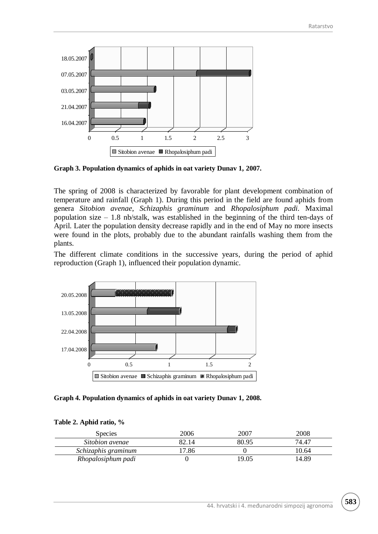

**Graph 3. Population dynamics of aphids in oat variety Dunav 1, 2007.**

The spring of 2008 is characterized by favorable for plant development combination of temperature and rainfall (Graph 1). During this period in the field are found aphids from genera *Sitobion avenae*, *Schizaphis graminum* and *Rhopalosiphum padi.* Maximal population size – 1.8 nb/stalk, was established in the beginning of the third ten-days of April. Later the population density decrease rapidly and in the end of May no more insects were found in the plots, probably due to the abundant rainfalls washing them from the plants.

The different climate conditions in the successive years, during the period of aphid reproduction (Graph 1), influenced their population dynamic.



**Graph 4. Population dynamics of aphids in oat variety Dunav 1, 2008.**

| <b>Species</b>      | 2006  | 2007  | 2008  |
|---------------------|-------|-------|-------|
| Sitobion avenae     | 82.14 | 80.95 | 74.47 |
| Schizaphis graminum | 7.86  |       | 10.64 |
| Rhopalosiphum padi  |       | 19.05 | 14.89 |

#### **Table 2. Aphid ratio, %**